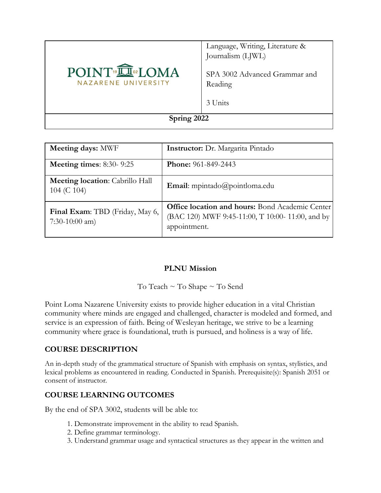

Language, Writing, Literature & Journalism (LJWL)

SPA 3002 Advanced Grammar and Reading

3 Units

**Spring 2022**

| Meeting days: MWF                                     | <b>Instructor:</b> Dr. Margarita Pintado                                                                                   |  |  |
|-------------------------------------------------------|----------------------------------------------------------------------------------------------------------------------------|--|--|
| Meeting times: $8:30-9:25$                            | <b>Phone:</b> 961-849-2443                                                                                                 |  |  |
| <b>Meeting location:</b> Cabrillo Hall<br>104 (C 104) | <b>Email:</b> mpintado@pointloma.edu                                                                                       |  |  |
| Final Exam: TBD (Friday, May 6,<br>$7:30-10:00$ am)   | <b>Office location and hours:</b> Bond Academic Center<br>(BAC 120) MWF 9:45-11:00, T 10:00- 11:00, and by<br>appointment. |  |  |

## **PLNU Mission**

To Teach ~ To Shape ~ To Send

Point Loma Nazarene University exists to provide higher education in a vital Christian community where minds are engaged and challenged, character is modeled and formed, and service is an expression of faith. Being of Wesleyan heritage, we strive to be a learning community where grace is foundational, truth is pursued, and holiness is a way of life.

## **COURSE DESCRIPTION**

An in-depth study of the grammatical structure of Spanish with emphasis on syntax, stylistics, and lexical problems as encountered in reading. Conducted in Spanish. Prerequisite(s): Spanish 2051 or consent of instructor.

## **COURSE LEARNING OUTCOMES**

By the end of SPA 3002, students will be able to:

- 1. Demonstrate improvement in the ability to read Spanish.
- 2. Define grammar terminology.
- 3. Understand grammar usage and syntactical structures as they appear in the written and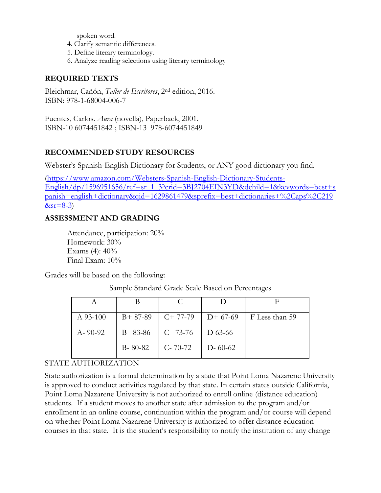spoken word.

- 4. Clarify semantic differences.
- 5. Define literary terminology.
- 6. Analyze reading selections using literary terminology

## **REQUIRED TEXTS**

Bleichmar, Cañón, *Taller de Escritores*, 2nd edition, 2016. ISBN: 978-1-68004-006-7

Fuentes, Carlos. *Aura* (novella), Paperback, 2001. ISBN-10 6074451842 ; ISBN-13 978-6074451849

## **RECOMMENDED STUDY RESOURCES**

Webster's Spanish-English Dictionary for Students, or ANY good dictionary you find.

[\(https://www.amazon.com/Websters-Spanish-English-Dictionary-Students-](https://www.amazon.com/Websters-Spanish-English-Dictionary-Students-English/dp/1596951656/ref=sr_1_3?crid=3BJ2704EIN3YD&dchild=1&keywords=best+spanish+english+dictionary&qid=1629861479&sprefix=best+dictionaries+%2Caps%2C219&sr=8-3)[English/dp/1596951656/ref=sr\\_1\\_3?crid=3BJ2704EIN3YD&dchild=1&keywords=best+s](https://www.amazon.com/Websters-Spanish-English-Dictionary-Students-English/dp/1596951656/ref=sr_1_3?crid=3BJ2704EIN3YD&dchild=1&keywords=best+spanish+english+dictionary&qid=1629861479&sprefix=best+dictionaries+%2Caps%2C219&sr=8-3) [panish+english+dictionary&qid=1629861479&sprefix=best+dictionaries+%2Caps%2C219](https://www.amazon.com/Websters-Spanish-English-Dictionary-Students-English/dp/1596951656/ref=sr_1_3?crid=3BJ2704EIN3YD&dchild=1&keywords=best+spanish+english+dictionary&qid=1629861479&sprefix=best+dictionaries+%2Caps%2C219&sr=8-3)  $&sr=8-3$ )

#### **ASSESSMENT AND GRADING**

Attendance, participation: 20% Homework: 30% Exams  $(4)$ :  $40\%$ Final Exam: 10%

Grades will be based on the following:

Sample Standard Grade Scale Based on Percentages

| $A$ 93-100    | $B+87-89$     | $C+77-79$     | $D+67-69$     | F Less than 59 |
|---------------|---------------|---------------|---------------|----------------|
| $A - 90 - 92$ | B 83-86       | $C$ 73-76     | D 63-66       |                |
|               | $B - 80 - 82$ | $C - 70 - 72$ | $D - 60 - 62$ |                |

## STATE AUTHORIZATION

State authorization is a formal determination by a state that Point Loma Nazarene University is approved to conduct activities regulated by that state. In certain states outside California, Point Loma Nazarene University is not authorized to enroll online (distance education) students. If a student moves to another state after admission to the program and/or enrollment in an online course, continuation within the program and/or course will depend on whether Point Loma Nazarene University is authorized to offer distance education courses in that state. It is the student's responsibility to notify the institution of any change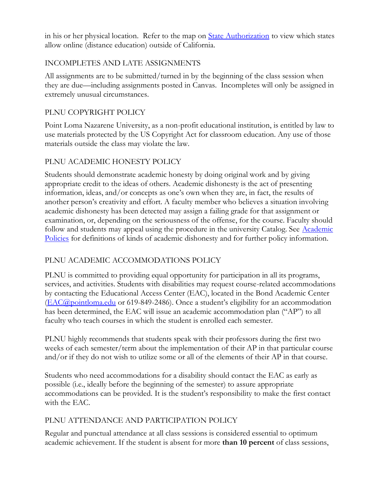in his or her physical location. Refer to the map on <u>State Authorization</u> to view which states allow online (distance education) outside of California.

## INCOMPLETES AND LATE ASSIGNMENTS

All assignments are to be submitted/turned in by the beginning of the class session when they are due—including assignments posted in Canvas. Incompletes will only be assigned in extremely unusual circumstances.

## PLNU COPYRIGHT POLICY

Point Loma Nazarene University, as a non-profit educational institution, is entitled by law to use materials protected by the US Copyright Act for classroom education. Any use of those materials outside the class may violate the law.

# PLNU ACADEMIC HONESTY POLICY

Students should demonstrate academic honesty by doing original work and by giving appropriate credit to the ideas of others. Academic dishonesty is the act of presenting information, ideas, and/or concepts as one's own when they are, in fact, the results of another person's creativity and effort. A faculty member who believes a situation involving academic dishonesty has been detected may assign a failing grade for that assignment or examination, or, depending on the seriousness of the offense, for the course. Faculty should follow and students may appeal using the procedure in the university Catalog. See Academic [Policies](https://catalog.pointloma.edu/content.php?catoid=52&navoid=2919#Academic_Honesty) for definitions of kinds of academic dishonesty and for further policy information.

# PLNU ACADEMIC ACCOMMODATIONS POLICY

PLNU is committed to providing equal opportunity for participation in all its programs, services, and activities. Students with disabilities may request course-related accommodations by contacting the Educational Access Center (EAC), located in the Bond Academic Center [\(EAC@pointloma.edu](mailto:EAC@pointloma.edu) or 619-849-2486). Once a student's eligibility for an accommodation has been determined, the EAC will issue an academic accommodation plan ("AP") to all faculty who teach courses in which the student is enrolled each semester.

PLNU highly recommends that students speak with their professors during the first two weeks of each semester/term about the implementation of their AP in that particular course and/or if they do not wish to utilize some or all of the elements of their AP in that course.

Students who need accommodations for a disability should contact the EAC as early as possible (i.e., ideally before the beginning of the semester) to assure appropriate accommodations can be provided. It is the student's responsibility to make the first contact with the EAC.

# PLNU ATTENDANCE AND PARTICIPATION POLICY

Regular and punctual attendance at all class sessions is considered essential to optimum academic achievement. If the student is absent for more **than 10 percent** of class sessions,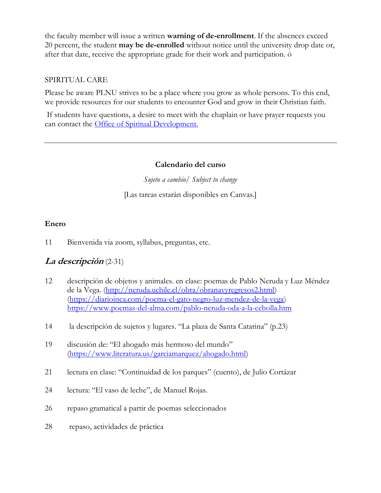the faculty member will issue a written **warning of de-enrollment**. If the absences exceed 20 percent, the student **may be de-enrolled** without notice until the university drop date or, after that date, receive the appropriate grade for their work and participation. ó

#### SPIRITUAL CARE

Please be aware PLNU strives to be a place where you grow as whole persons. To this end, we provide resources for our students to encounter God and grow in their Christian faith.

If students have questions, a desire to meet with the chaplain or have prayer requests you can contact the Office of Spiritual Development.

#### **Calendario del curso**

*Sujeto a cambio/ Subject to change*

[Las tareas estarán disponibles en Canvas.]

## **Enero**

11 Bienvenida via zoom, syllabus, preguntas, etc.

# **La descripción** (2-31)

- 12 descripción de objetos y animales. en clase: poemas de Pablo Neruda y Luz Méndez de la Vega. [\(http://neruda.uchile.cl/obra/obranavyregresos2.html\)](http://neruda.uchile.cl/obra/obranavyregresos2.html) [\(https://diarioinca.com/poema-el-gato-negro-luz-mendez-de-la-vega\)](https://diarioinca.com/poema-el-gato-negro-luz-mendez-de-la-vega) <https://www.poemas-del-alma.com/pablo-neruda-oda-a-la-cebolla.htm>
- 14 la descripción de sujetos y lugares. "La plaza de Santa Catarina" (p.23)
- 19 discusión de: "El ahogado más hermoso del mundo" [\(https://www.literatura.us/garciamarquez/ahogado.html\)](https://www.literatura.us/garciamarquez/ahogado.html)
- 21 lectura en clase: "Continuidad de los parques" (cuento), de Julio Cortázar
- 24 lectura: "El vaso de leche", de Manuel Rojas.
- 26 repaso gramatical a partir de poemas seleccionados
- 28 repaso, actividades de práctica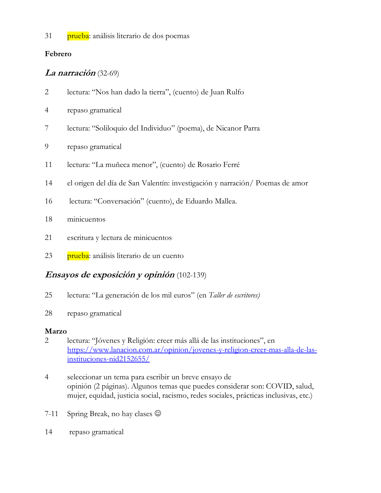31 prueba: análisis literario de dos poemas

## **Febrero**

# **La narración** (32-69)

- 2 lectura: "Nos han dado la tierra", (cuento) de Juan Rulfo
- 4 repaso gramatical
- 7 lectura: "Soliloquio del Individuo" (poema), de Nicanor Parra
- 9 repaso gramatical
- 11 lectura: "La muñeca menor", (cuento) de Rosario Ferré
- 14 el origen del día de San Valentín: investigación y narración/ Poemas de amor
- 16 lectura: "Conversación" (cuento), de Eduardo Mallea.
- 18 minicuentos
- 21 escritura y lectura de minicuentos
- 23 prueba: análisis literario de un cuento

# **Ensayos de exposición y opinión** (102-139)

- 25 lectura: "La generación de los mil euros" (en *Taller de escritores)*
- 28 repaso gramatical

# **Marzo**

- 2 lectura: "Jóvenes y Religión: creer más allá de las instituciones", en [https://www.lanacion.com.ar/opinion/jovenes-y-religion-creer-mas-alla-de-las](https://www.lanacion.com.ar/opinion/jovenes-y-religion-creer-mas-alla-de-las-instituciones-nid2152655/)[instituciones-nid2152655/](https://www.lanacion.com.ar/opinion/jovenes-y-religion-creer-mas-alla-de-las-instituciones-nid2152655/)
- 4 seleccionar un tema para escribir un breve ensayo de opinión (2 páginas). Algunos temas que puedes considerar son: COVID, salud, mujer, equidad, justicia social, racismo, redes sociales, prácticas inclusivas, etc.)
- 7-11 Spring Break, no hay clases  $\odot$
- 14 repaso gramatical